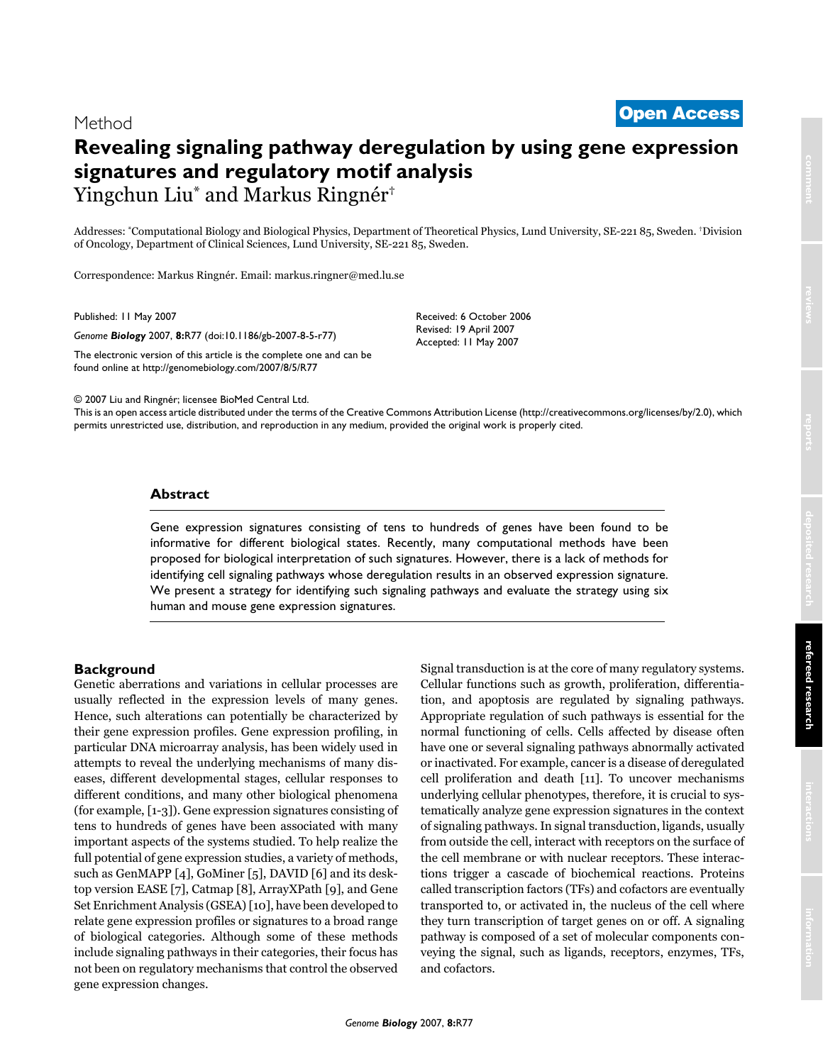# Method

# Revealing signaling pathway deregulation by using gene expression signatures and regulatory motif analysis Yingchun Liu<sup>\*</sup> and Markus Ringnér<sup>†</sup>

Addresses: "Computational Biology and Biological Physics, Department of Theoretical Physics, Lund University, SE-221 85, Sweden. "Division of Oncology, Department of Clinical Sciences, Lund University, SE-221 85, Sweden.

Correspondence: Markus Ringnér. Email: markus.ringner@med.lu.se

Published: 11 May 2007

Genome Biology 2007, 8:R77 (doi:10.1186/gb-2007-8-5-r77)

The electronic version of this article is the complete one and can be found online at http://genomebiology.com/2007/8/5/R77

Received: 6 October 2006 Revised: 19 April 2007 Accepted: 11 May 2007

© 2007 Liu and Ringnér; licensee BioMed Central Ltd.

This is an open access article distributed under the terms of the Creative Commons Attribution License (http://creativecommons.org/licenses/by/2.0), which permits unrestricted use, distribution, and reproduction in any medium, provided the original work is properly cited.

## **Abstract**

Gene expression signatures consisting of tens to hundreds of genes have been found to be informative for different biological states. Recently, many computational methods have been proposed for biological interpretation of such signatures. However, there is a lack of methods for identifying cell signaling pathways whose deregulation results in an observed expression signature. We present a strategy for identifying such signaling pathways and evaluate the strategy using six human and mouse gene expression signatures.

#### **Background**

Genetic aberrations and variations in cellular processes are usually reflected in the expression levels of many genes. Hence, such alterations can potentially be characterized by their gene expression profiles. Gene expression profiling, in particular DNA microarray analysis, has been widely used in attempts to reveal the underlying mechanisms of many diseases, different developmental stages, cellular responses to different conditions, and many other biological phenomena (for example, [1-3]). Gene expression signatures consisting of tens to hundreds of genes have been associated with many important aspects of the systems studied. To help realize the full potential of gene expression studies, a variety of methods, such as GenMAPP [4], GoMiner [5], DAVID [6] and its desktop version EASE [7], Catmap [8], ArrayXPath [9], and Gene Set Enrichment Analysis (GSEA) [10], have been developed to relate gene expression profiles or signatures to a broad range of biological categories. Although some of these methods include signaling pathways in their categories, their focus has not been on regulatory mechanisms that control the observed gene expression changes.

Signal transduction is at the core of many regulatory systems. Cellular functions such as growth, proliferation, differentiation, and apoptosis are regulated by signaling pathways. Appropriate regulation of such pathways is essential for the normal functioning of cells. Cells affected by disease often have one or several signaling pathways abnormally activated or inactivated. For example, cancer is a disease of deregulated cell proliferation and death [11]. To uncover mechanisms underlying cellular phenotypes, therefore, it is crucial to systematically analyze gene expression signatures in the context of signaling pathways. In signal transduction, ligands, usually from outside the cell, interact with receptors on the surface of the cell membrane or with nuclear receptors. These interactions trigger a cascade of biochemical reactions. Proteins called transcription factors (TFs) and cofactors are eventually transported to, or activated in, the nucleus of the cell where they turn transcription of target genes on or off. A signaling pathway is composed of a set of molecular components conveying the signal, such as ligands, receptors, enzymes, TFs, and cofactors.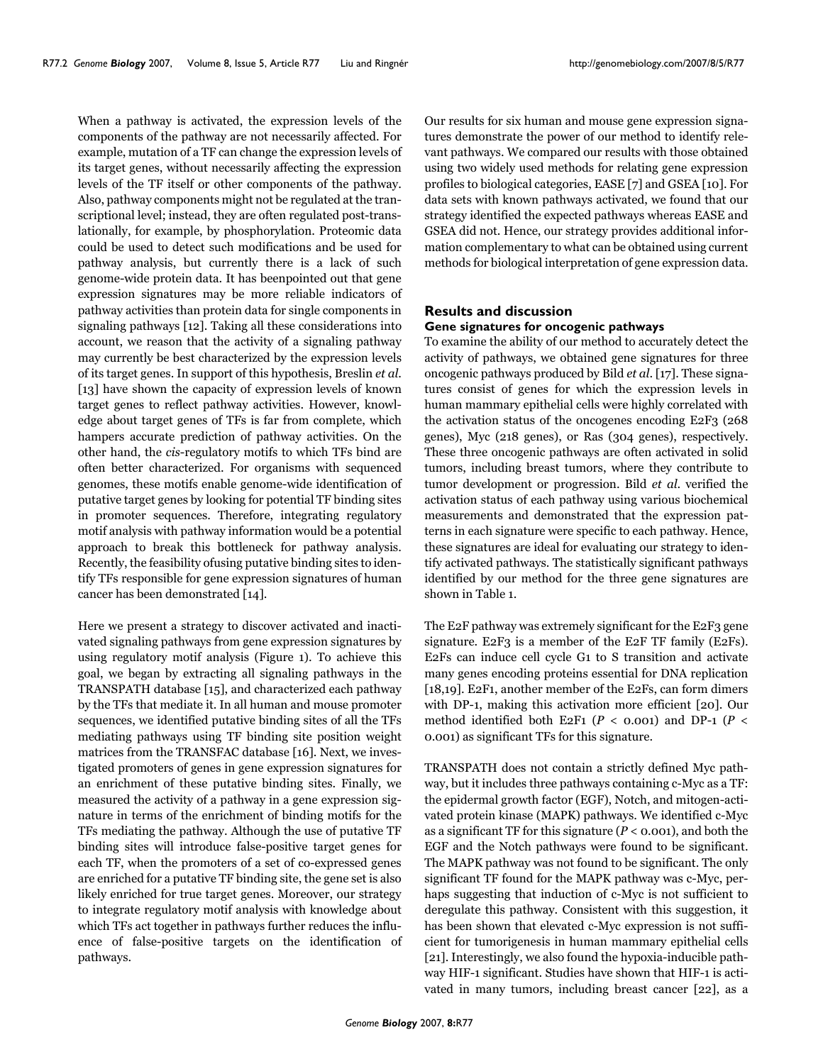When a pathway is activated, the expression levels of the components of the pathway are not necessarily affected. For example, mutation of a TF can change the expression levels of its target genes, without necessarily affecting the expression levels of the TF itself or other components of the pathway. Also, pathway components might not be regulated at the transcriptional level; instead, they are often regulated post-translationally, for example, by phosphorylation. Proteomic data could be used to detect such modifications and be used for pathway analysis, but currently there is a lack of such genome-wide protein data. It has been pointed out that gene expression signatures may be more reliable indicators of pathway activities than protein data for single components in signaling pathways [12]. Taking all these considerations into account, we reason that the activity of a signaling pathway may currently be best characterized by the expression levels of its target genes. In support of this hypothesis, Breslin et al. [13] have shown the capacity of expression levels of known target genes to reflect pathway activities. However, knowledge about target genes of TFs is far from complete, which hampers accurate prediction of pathway activities. On the other hand, the *cis*-regulatory motifs to which TFs bind are often better characterized. For organisms with sequenced genomes, these motifs enable genome-wide identification of putative target genes by looking for potential TF binding sites in promoter sequences. Therefore, integrating regulatory motif analysis with pathway information would be a potential approach to break this bottleneck for pathway analysis. Recently, the feasibility of using putative binding sites to identify TFs responsible for gene expression signatures of human cancer has been demonstrated [14].

Here we present a strategy to discover activated and inactivated signaling pathways from gene expression signatures by using regulatory motif analysis (Figure 1). To achieve this goal, we began by extracting all signaling pathways in the TRANSPATH database [15], and characterized each pathway by the TFs that mediate it. In all human and mouse promoter sequences, we identified putative binding sites of all the TFs mediating pathways using TF binding site position weight matrices from the TRANSFAC database [16]. Next, we investigated promoters of genes in gene expression signatures for an enrichment of these putative binding sites. Finally, we measured the activity of a pathway in a gene expression signature in terms of the enrichment of binding motifs for the TFs mediating the pathway. Although the use of putative TF binding sites will introduce false-positive target genes for each TF, when the promoters of a set of co-expressed genes are enriched for a putative TF binding site, the gene set is also likely enriched for true target genes. Moreover, our strategy to integrate regulatory motif analysis with knowledge about which TFs act together in pathways further reduces the influence of false-positive targets on the identification of pathways.

Our results for six human and mouse gene expression signatures demonstrate the power of our method to identify relevant pathways. We compared our results with those obtained using two widely used methods for relating gene expression profiles to biological categories, EASE [7] and GSEA [10]. For data sets with known pathways activated, we found that our strategy identified the expected pathways whereas EASE and GSEA did not. Hence, our strategy provides additional information complementary to what can be obtained using current methods for biological interpretation of gene expression data.

#### **Results and discussion** Gene signatures for oncogenic pathways

To examine the ability of our method to accurately detect the activity of pathways, we obtained gene signatures for three oncogenic pathways produced by Bild et al. [17]. These signatures consist of genes for which the expression levels in human mammary epithelial cells were highly correlated with the activation status of the oncogenes encoding E2F3 (268) genes), Myc (218 genes), or Ras (304 genes), respectively. These three oncogenic pathways are often activated in solid tumors, including breast tumors, where they contribute to tumor development or progression. Bild et al. verified the activation status of each pathway using various biochemical measurements and demonstrated that the expression patterns in each signature were specific to each pathway. Hence, these signatures are ideal for evaluating our strategy to identify activated pathways. The statistically significant pathways identified by our method for the three gene signatures are shown in Table 1.

The E2F pathway was extremely significant for the E2F3 gene signature. E2F3 is a member of the E2F TF family (E2Fs). E2Fs can induce cell cycle G1 to S transition and activate many genes encoding proteins essential for DNA replication [18,19]. E2F1, another member of the E2Fs, can form dimers with DP-1, making this activation more efficient [20]. Our method identified both E2F1 ( $P <$  0.001) and DP-1 ( $P <$ 0.001) as significant TFs for this signature.

TRANSPATH does not contain a strictly defined Myc pathway, but it includes three pathways containing c-Myc as a TF: the epidermal growth factor (EGF), Notch, and mitogen-activated protein kinase (MAPK) pathways. We identified c-Myc as a significant TF for this signature ( $P < 0.001$ ), and both the EGF and the Notch pathways were found to be significant. The MAPK pathway was not found to be significant. The only significant TF found for the MAPK pathway was c-Myc, perhaps suggesting that induction of c-Myc is not sufficient to deregulate this pathway. Consistent with this suggestion, it has been shown that elevated c-Myc expression is not sufficient for tumorigenesis in human mammary epithelial cells [21]. Interestingly, we also found the hypoxia-inducible pathway HIF-1 significant. Studies have shown that HIF-1 is activated in many tumors, including breast cancer [22], as a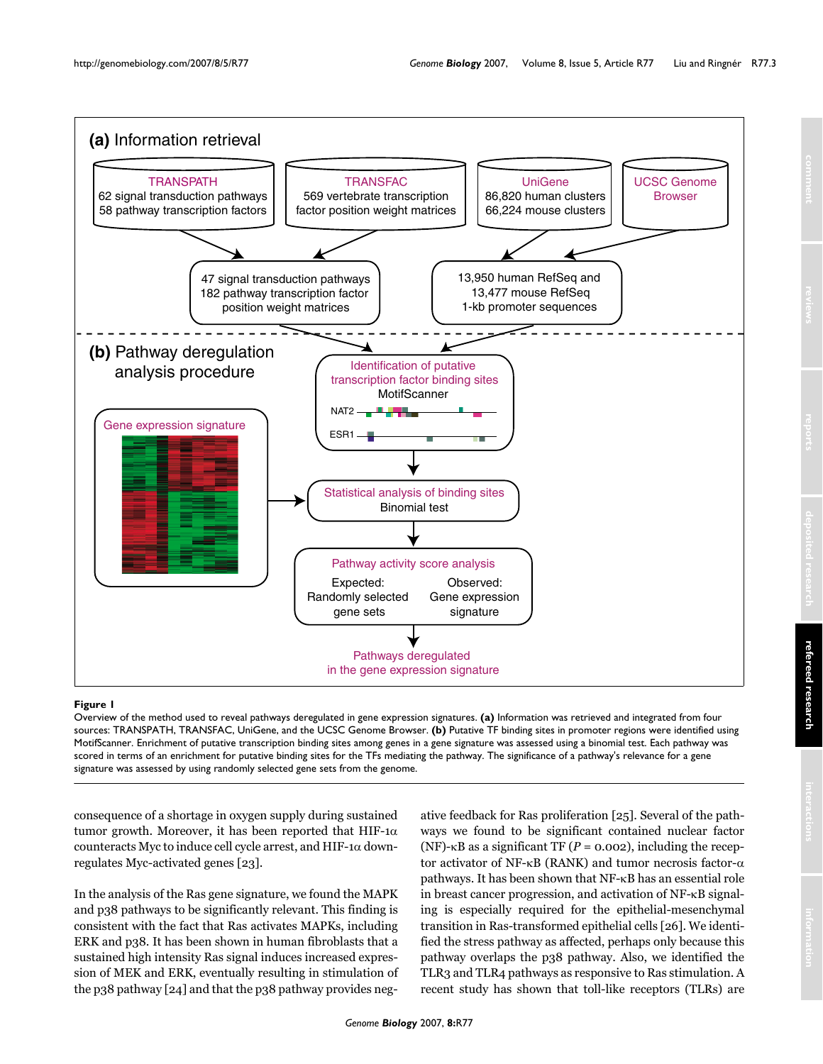<span id="page-2-0"></span>

#### O**Fi**v**g**e**u**r**r**v**e**ie **1**w of the method used to reveal pathways deregulated in gene expression signatures

Overview of the method used to reveal pathways deregulated in gene expression signatures. **(a)** Information was retrieved and integrated from four sources: TRANSPATH, TRANSFAC, UniGene, and the UCSC Genome Browser. **(b)** Putative TF binding sites in promoter regions were identified using MotifScanner. Enrichment of putative transcription binding sites among genes in a gene signature was assessed using a binomial test. Each pathway was scored in terms of an enrichment for putative binding sites for the TFs mediating the pathway. The significance of a pathway's relevance for a gene signature was assessed by using randomly selected gene sets from the genome.

consequence of a shortage in oxygen supply during sustained tumor growth. Moreover, it has been reported that HIF-1 $\alpha$ counteracts Myc to induce cell cycle arrest, and HIF-1 $\alpha$  downregulates Myc-activated genes [23].

In the analysis of the Ras gene signature, we found the MAPK and p38 pathways to be significantly relevant. This finding is consistent with the fact that Ras activates MAPKs, including ERK and p38. It has been shown in human fibroblasts that a sustained high intensity Ras signal induces increased expression of MEK and ERK, eventually resulting in stimulation of the p38 pathway [24] and that the p38 pathway provides negative feedback for Ras proliferation [25]. Several of the pathways we found to be significant contained nuclear factor (NF)- $\kappa$ B as a significant TF ( $P = 0.002$ ), including the receptor activator of NF- $\kappa$ B (RANK) and tumor necrosis factor- $\alpha$ pathways. It has been shown that  $NF-\kappa B$  has an essential role in breast cancer progression, and activation of NF-KB signaling is especially required for the epithelial-mesenchymal transition in Ras-transformed epithelial cells [26]. We identified the stress pathway as affected, perhaps only because this pathway overlaps the p38 pathway. Also, we identified the TLR3 and TLR4 pathways as responsive to Ras stimulation. A recent study has shown that toll-like receptors (TLRs) are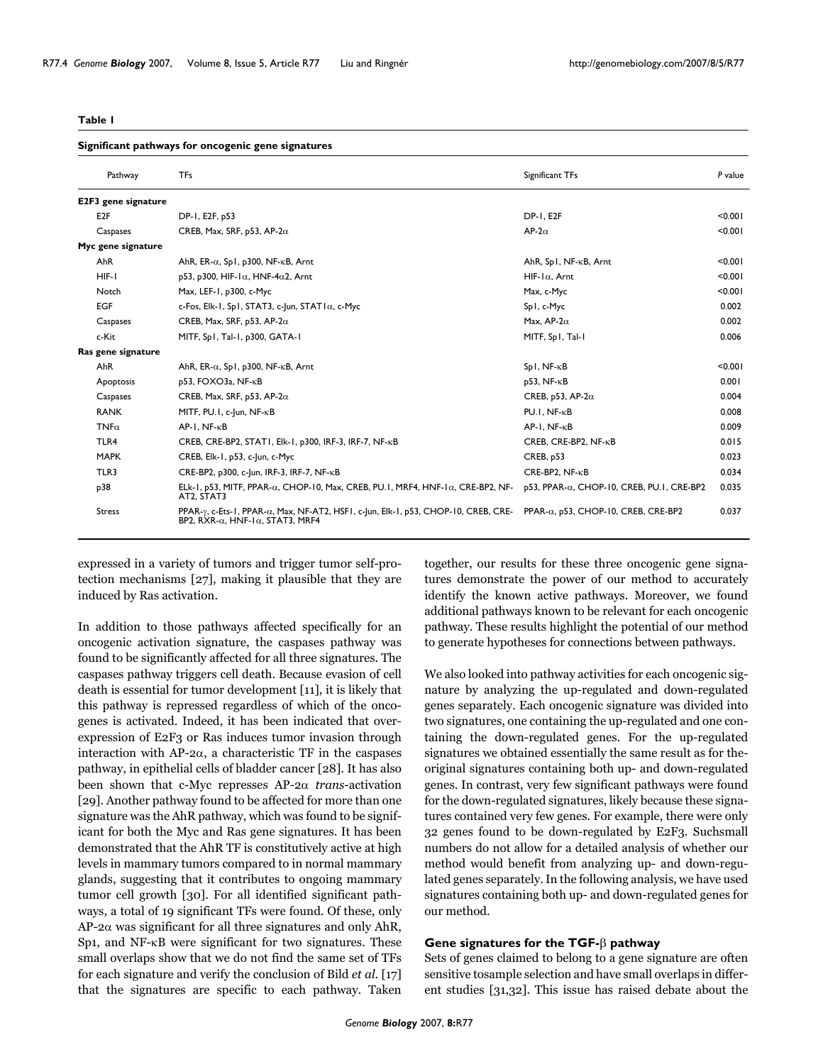#### <span id="page-3-0"></span>**Table 1**

#### **Significant pathways for oncogenic gene signatures**

| Pathway             | <b>TFs</b>                                                                                                                                                | Significant TFs                              | P value |
|---------------------|-----------------------------------------------------------------------------------------------------------------------------------------------------------|----------------------------------------------|---------|
| E2F3 gene signature |                                                                                                                                                           |                                              |         |
| E <sub>2</sub> F    | DP-1, E2F, p53                                                                                                                                            | <b>DP-1, E2F</b>                             | < 0.001 |
| Caspases            | CREB, Max, SRF, p53, AP-2 $\alpha$                                                                                                                        | AP-2 $\alpha$                                | < 0.001 |
| Myc gene signature  |                                                                                                                                                           |                                              |         |
| AhR                 | AhR, ER- $\alpha$ , Sp1, p300, NF- $\kappa$ B, Arnt                                                                                                       | AhR, Sp1, NF-KB, Arnt                        | < 0.001 |
| $HIF-I$             | p53, p300, HIF-1 $\alpha$ , HNF-4 $\alpha$ 2, Arnt                                                                                                        | $HIF-I\alpha$ , Arnt                         | < 0.001 |
| Notch               | Max, LEF-1, p300, c-Myc                                                                                                                                   | Max, c-Myc                                   | < 0.001 |
| <b>EGF</b>          | c-Fos, Elk-1, Sp1, STAT3, c-Jun, STAT1 $\alpha$ , c-Myc                                                                                                   | Sp1, c-Myc                                   | 0.002   |
| Caspases            | CREB, Max, SRF, p53, AP-2 $\alpha$                                                                                                                        | Max, AP- $2\alpha$                           | 0.002   |
| c-Kit               | MITF, Sp1, Tal-1, p300, GATA-1                                                                                                                            | MITF, Spl, Tal-1                             | 0.006   |
| Ras gene signature  |                                                                                                                                                           |                                              |         |
| AhR                 | AhR, ER- $\alpha$ , Sp1, p300, NF- $\kappa$ B, Arnt                                                                                                       | $Sp1, NF-KB$                                 | < 0.001 |
| Apoptosis           | p53, FOXO3a, NF-KB                                                                                                                                        | p53, NF-KB                                   | 0.001   |
| Caspases            | CREB, Max, SRF, p53, AP-2 $\alpha$                                                                                                                        | CREB, p53, AP-2 $\alpha$                     | 0.004   |
| <b>RANK</b>         | MITF, PU.I, c-Jun, NF-KB                                                                                                                                  | $PU.I. NF-KB$                                | 0.008   |
| $TNF\alpha$         | $AP - I$ , $NF - \kappa B$                                                                                                                                | $AP-I, NF-\kappaB$                           | 0.009   |
| TLR4                | CREB, CRE-BP2, STAT1, Elk-1, p300, IRF-3, IRF-7, NF-KB                                                                                                    | CREB, CRE-BP2, NF-KB                         | 0.015   |
| <b>MAPK</b>         | CREB, Elk-1, p53, c-Jun, c-Myc                                                                                                                            | CREB, p53                                    | 0.023   |
| TLR3                | CRE-BP2, p300, c-Jun, IRF-3, IRF-7, NF-KB                                                                                                                 | CRE-BP2, NF-KB                               | 0.034   |
| p38                 | ELk-1, p53, MITF, PPAR- $\alpha$ , CHOP-10, Max, CREB, PU.1, MRF4, HNF-1 $\alpha$ , CRE-BP2, NF-<br>AT2, STAT3                                            | p53, PPAR-α, CHOP-10, CREB, PU.1, CRE-BP2    | 0.035   |
| <b>Stress</b>       | PPAR- $\gamma$ , c-Ets-1, PPAR- $\alpha$ , Max, NF-AT2, HSF1, c-Jun, Elk-1, p53, CHOP-10, CREB, CRE-<br>BP2, RXR- $\alpha$ , HNF-1 $\alpha$ , STAT3, MRF4 | PPAR- $\alpha$ , p53, CHOP-10, CREB, CRE-BP2 | 0.037   |

expressed in a variety of tumors and trigger tumor self-protection mechanisms  $[27]$ , making it plausible that they are induced by Ras activation.

In addition to those pathways affected specifically for an oncogenic activation signature, the caspases pathway was found to be significantly affected for all three signatures. The caspases pathway triggers cell death. Because evasion of cell death is essential for tumor development [11], it is likely that this pathway is repressed regardless of which of the oncogenes is activated. Indeed, it has been indicated that overexpression of E2F3 or Ras induces tumor invasion through interaction with AP-2 $\alpha$ , a characteristic TF in the caspases pathway, in epithelial cells of bladder cancer [28]. It has also been shown that c-Myc represses  $AP-2\alpha$  *trans*-activation [29]. Another pathway found to be affected for more than one signature was the AhR pathway, which was found to be significant for both the Myc and Ras gene signatures. It has been demonstrated that the AhR TF is constitutively active at high levels in mammary tumors compared to in normal mammary glands, suggesting that it contributes to ongoing mammary tumor cell growth [30]. For all identified significant pathways, a total of 19 significant TFs were found. Of these, only  $AP$ -2 $\alpha$  was significant for all three signatures and only AhR, Sp1, and  $NF-\kappa B$  were significant for two signatures. These small overlaps show that we do not find the same set of TFs for each signature and verify the conclusion of Bild *et al.* [17] that the signatures are specific to each pathway. Taken

together, our results for these three oncogenic gene signatures demonstrate the power of our method to accurately identify the known active pathways. Moreover, we found additional pathways known to be relevant for each oncogenic pathway. These results highlight the potential of our method to generate hypotheses for connections between pathways.

We also looked into pathway activities for each oncogenic signature by analyzing the up-regulated and down-regulated genes separately. Each oncogenic signature was divided into two signatures, one containing the up-regulated and one containing the down-regulated genes. For the up-regulated signatures we obtained essentially the same result as for theoriginal signatures containing both up- and down-regulated genes. In contrast, very few significant pathways were found for the down-regulated signatures, likely because these signatures contained very few genes. For example, there were only 32 genes found to be down-regulated by E2F3. Suchsmall numbers do not allow for a detailed analysis of whether our method would benefit from analyzing up- and down-regulated genes separately. In the following analysis, we have used signatures containing both up- and down-regulated genes for our method.

#### **Gene signatures for the TGF-** $\beta$  **pathway**

Sets of genes claimed to belong to a gene signature are often sensitive tosample selection and have small overlaps in different studies  $[31,32]$ . This issue has raised debate about the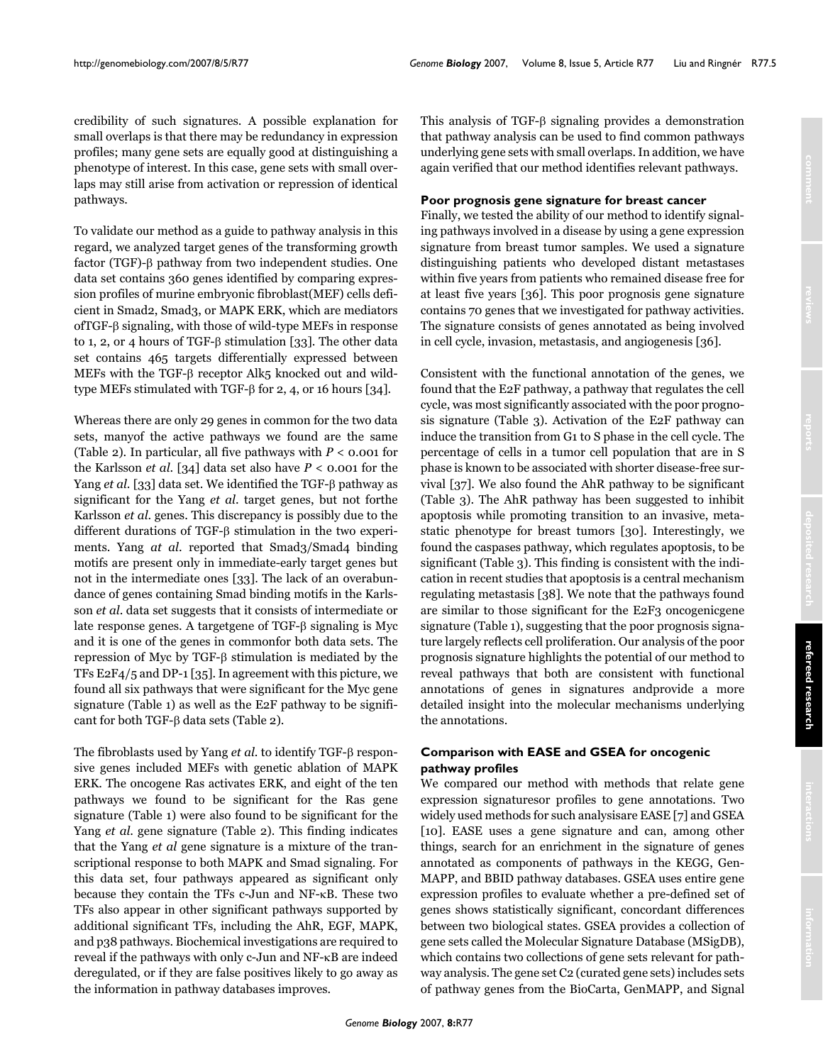credibility of such signatures. A possible explanation for small overlaps is that there may be redundancy in expression profiles; many gene sets are equally good at distinguishing a phenotype of interest. In this case, gene sets with small overlaps may still arise from activation or repression of identical pathways.

To validate our method as a guide to pathway analysis in this regard, we analyzed target genes of the transforming growth factor (TGF)- $\beta$  pathway from two independent studies. One data set contains 360 genes identified by comparing expression profiles of murine embryonic fibroblast (MEF) cells deficient in Smad2, Smad3, or MAPK ERK, which are mediators  $of TGF- $\beta$  signaling, with those of wild-type MEFs in response.$ to 1, 2, or 4 hours of TGF- $\beta$  stimulation [33]. The other data set contains 465 targets differentially expressed between MEFs with the TGF- $\beta$  receptor Alk5 knocked out and wildtype MEFs stimulated with TGF- $\beta$  for 2, 4, or 16 hours [34].

Whereas there are only 29 genes in common for the two data sets, manyof the active pathways we found are the same (Table 2). In particular, all five pathways with  $P < 0.001$  for the Karlsson *et al.* [34] data set also have  $P < 0.001$  for the Yang et al. [33] data set. We identified the TGF- $\beta$  pathway as significant for the Yang *et al.* target genes, but not forthe Karlsson et al. genes. This discrepancy is possibly due to the different durations of TGF- $\beta$  stimulation in the two experiments. Yang at al. reported that Smad<sub>3</sub>/Smad<sub>4</sub> binding motifs are present only in immediate-early target genes but not in the intermediate ones [33]. The lack of an overabundance of genes containing Smad binding motifs in the Karlsson *et al*. data set suggests that it consists of intermediate or late response genes. A targetgene of TGF- $\beta$  signaling is Myc and it is one of the genes in commonfor both data sets. The repression of Myc by TGF- $\beta$  stimulation is mediated by the TFs  $E2F4/5$  and DP-1 [35]. In agreement with this picture, we found all six pathways that were significant for the Myc gene signature (Table [1](#page-3-0)) as well as the E2F pathway to be significant for both TGF- $\beta$  data sets (Table 2).

The fibroblasts used by Yang *et al*. to identify TGF-β responsive genes included MEFs with genetic ablation of MAPK ERK. The oncogene Ras activates ERK, and eight of the ten pathways we found to be significant for the Ras gene signature (Table [1\)](#page-3-0) were also found to be significant for the Yang *et al.* gene signature (Table 2). This finding indicates that the Yang *et al* gene signature is a mixture of the transcriptional response to both MAPK and Smad signaling. For this data set, four pathways appeared as significant only because they contain the TFs  $c$ -Jun and NF- $\kappa$ B. These two TFs also appear in other significant pathways supported by additional significant TFs, including the AhR, EGF, MAPK, and p38 pathways. Biochemical investigations are required to reveal if the pathways with only c-Jun and NF-KB are indeed deregulated, or if they are false positives likely to go away as the information in pathway databases improves.

This analysis of TGF- $\beta$  signaling provides a demonstration that pathway analysis can be used to find common pathways underlying gene sets with small overlaps. In addition, we have again verified that our method identifies relevant pathways.

#### **Poor prognosis gene signature for breast cancer**

Finally, we tested the ability of our method to identify signaling pathways involved in a disease by using a gene expression signature from breast tumor samples. We used a signature distinguishing patients who developed distant metastases within five years from patients who remained disease free for at least five years [36]. This poor prognosis gene signature contains 70 genes that we investigated for pathway activities. The signature consists of genes annotated as being involved in cell cycle, invasion, metastasis, and angiogenesis [36].

Consistent with the functional annotation of the genes, we found that the E2F pathway, a pathway that regulates the cell cycle, was most significantly associated with the poor prognosis signature (Table 3). Activation of the E2F pathway can induce the transition from G1 to S phase in the cell cycle. The percentage of cells in a tumor cell population that are in S phase is known to be associated with shorter disease-free survival  $[37]$ . We also found the AhR pathway to be significant (Table 3). The AhR pathway has been suggested to inhibit apoptosis while promoting transition to an invasive, metastatic phenotype for breast tumors [30]. Interestingly, we found the caspases pathway, which regulates apoptosis, to be significant (Table 3). This finding is consistent with the indication in recent studies that apoptosis is a central mechanism regulating metastasis [38]. We note that the pathways found are similar to those significant for the E2F3 oncogenic gene signature (Table [1\)](#page-3-0), suggesting that the poor prognosis signature largely reflects cell proliferation. Our analysis of the poor prognosis signature highlights the potential of our method to reveal pathways that both are consistent with functional annotations of genes in signatures and provide a more detailed insight into the molecular mechanisms underlying the annotations.

## **Comparison with EASE and GSEA for oncogenic pathway profiles**

We compared our method with methods that relate gene expression signatures or profiles to gene annotations. Two widely used methods for such analysisare EASE [7] and GSEA [10]. EASE uses a gene signature and can, among other things, search for an enrichment in the signature of genes annotated as components of pathways in the KEGG, Gen-MAPP, and BBID pathway databases. GSEA uses entire gene expression profiles to evaluate whether a pre-defined set of genes shows statistically significant, concordant differences between two biological states. GSEA provides a collection of gene sets called the Molecular Signature Database (MSigDB), which contains two collections of gene sets relevant for pathway analysis. The gene set C2 (curated gene sets) includes sets of pathway genes from the BioCarta, GenMAPP, and Signal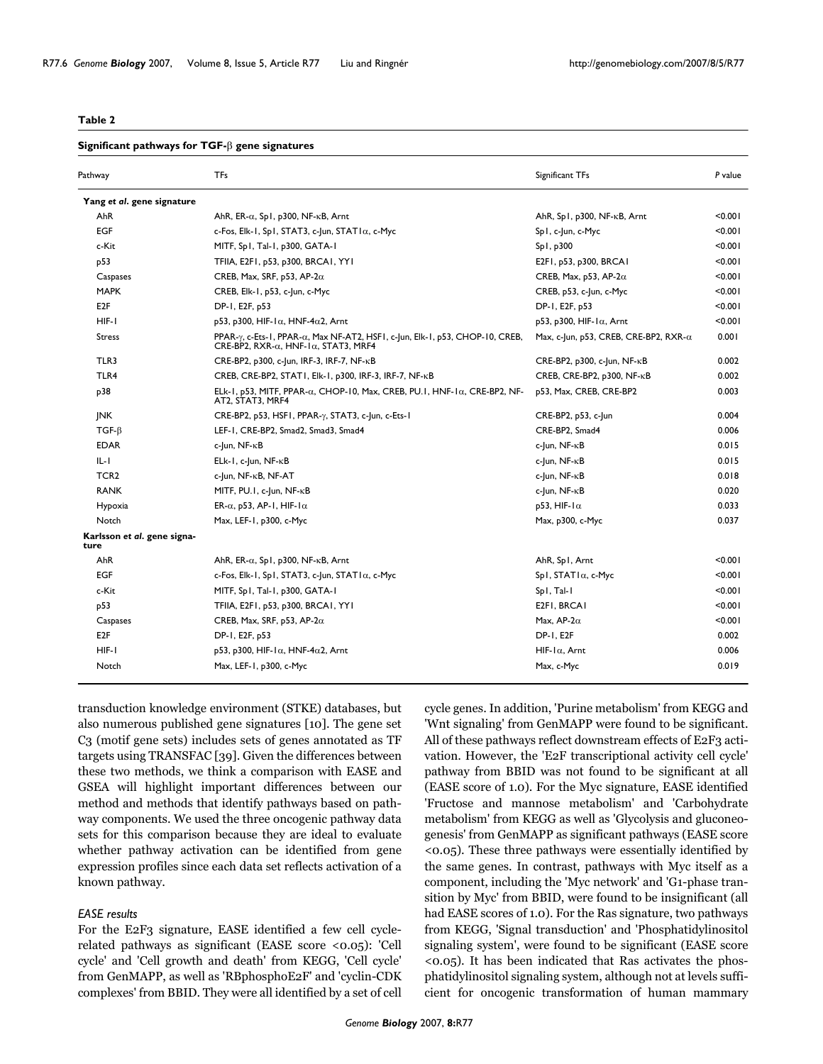#### **Table 2**

#### Significant pathways for TGF- $\beta$  gene signatures

| Pathway                             | TFs                                                                                                                                                     | Significant TFs                               | P value |
|-------------------------------------|---------------------------------------------------------------------------------------------------------------------------------------------------------|-----------------------------------------------|---------|
| Yang et al. gene signature          |                                                                                                                                                         |                                               |         |
| AhR                                 | AhR, ER- $\alpha$ , Sp1, p300, NF- $\kappa$ B, Arnt                                                                                                     | AhR, Sp1, p300, NF-KB, Arnt                   | < 0.001 |
| <b>EGF</b>                          | c-Fos, Elk-1, Sp1, STAT3, c-Jun, STAT1 $\alpha$ , c-Myc                                                                                                 | Sp1, c-Jun, c-Myc                             | < 0.001 |
| c-Kit                               | MITF, Sp1, Tal-1, p300, GATA-1                                                                                                                          | Sp1, p300                                     | < 0.001 |
| p53                                 | TFIIA, E2F1, p53, p300, BRCA1, YY1                                                                                                                      | E2F1, p53, p300, BRCA1                        | < 0.001 |
| Caspases                            | CREB, Max, SRF, p53, AP-2 $\alpha$                                                                                                                      | CREB, Max, p53, AP-2 $\alpha$                 | < 0.001 |
| <b>MAPK</b>                         | CREB, Elk-1, p53, c-Jun, c-Myc                                                                                                                          | CREB, p53, c-Jun, c-Myc                       | < 0.001 |
| E <sub>2</sub> F                    | DP-1, E2F, p53                                                                                                                                          | DP-1, E2F, p53                                | < 0.001 |
| HIF-I                               | p53, p300, HIF-1 $\alpha$ , HNF-4 $\alpha$ 2, Arnt                                                                                                      | p53, p300, HIF-1 $\alpha$ , Arnt              | < 0.001 |
| <b>Stress</b>                       | PPAR- $\gamma$ , c-Ets-1, PPAR- $\alpha$ , Max NF-AT2, HSF1, c-Jun, Elk-1, p53, CHOP-10, CREB,<br>CRE-BP2, RXR- $\alpha$ , HNF-1 $\alpha$ , STAT3, MRF4 | Max, c-Jun, p53, CREB, CRE-BP2, RXR- $\alpha$ | 0.001   |
| TLR3                                | CRE-BP2, p300, c-Jun, IRF-3, IRF-7, NF-KB                                                                                                               | $CRE-BP2$ , p300, c-Jun, NF- $\kappa$ B       | 0.002   |
| TLR4                                | CREB, CRE-BP2, STAT1, Elk-1, p300, IRF-3, IRF-7, NF-KB                                                                                                  | CREB, CRE-BP2, p300, NF-KB                    | 0.002   |
| p38                                 | ELk-1, p53, MITF, PPAR- $\alpha$ , CHOP-10, Max, CREB, PU.1, HNF-1 $\alpha$ , CRE-BP2, NF-<br>AT2, STAT3, MRF4                                          | p53, Max, CREB, CRE-BP2                       | 0.003   |
| <b>INK</b>                          | CRE-BP2, p53, HSF1, PPAR-y, STAT3, c-Jun, c-Ets-1                                                                                                       | CRE-BP2, p53, c-Jun                           | 0.004   |
| $TGF-B$                             | LEF-1, CRE-BP2, Smad2, Smad3, Smad4                                                                                                                     | CRE-BP2, Smad4                                | 0.006   |
| <b>EDAR</b>                         | c-Jun, NF-KB                                                                                                                                            | c-Jun, NF-KB                                  | 0.015   |
| IL-I                                | $ELk-1$ , c-Jun, NF- $\kappa$ B                                                                                                                         | c-Jun, NF-KB                                  | 0.015   |
| TCR <sub>2</sub>                    | c-Jun, NF-KB, NF-AT                                                                                                                                     | c-Jun, NF-κB                                  | 0.018   |
| <b>RANK</b>                         | MITF, PU.I, c-Jun, NF-KB                                                                                                                                | c-Jun, NF- <sub>K</sub> B                     | 0.020   |
| Hypoxia                             | ER- $\alpha$ , p53, AP-1, HIF-1 $\alpha$                                                                                                                | $p53, HIF-I\alpha$                            | 0.033   |
| Notch                               | Max, LEF-1, p300, c-Myc                                                                                                                                 | Max, p300, c-Myc                              | 0.037   |
| Karlsson et al. gene signa-<br>ture |                                                                                                                                                         |                                               |         |
| AhR                                 | AhR, ER- $\alpha$ , Sp1, p300, NF- $\kappa$ B, Arnt                                                                                                     | AhR, Sp1, Arnt                                | < 0.001 |
| <b>EGF</b>                          | c-Fos, Elk-1, Sp1, STAT3, c-Jun, STAT1α, c-Myc                                                                                                          | $Sp I, STAT I \alpha, c-Myc$                  | < 0.001 |
| c-Kit                               | MITF, Sp1, Tal-1, p300, GATA-1                                                                                                                          | Spl, Tal-I                                    | < 0.001 |
| p53                                 | TFIIA, E2F1, p53, p300, BRCA1, YY1                                                                                                                      | E2FI, BRCAI                                   | < 0.001 |
| Caspases                            | CREB, Max, SRF, p53, AP-2 $\alpha$                                                                                                                      | Max, AP-2 $\alpha$                            | < 0.001 |
| E <sub>2</sub> F                    | DP-1, E2F, p53                                                                                                                                          | DP-1, E2F                                     | 0.002   |
| HIF-I                               | p53, p300, HIF-1 $\alpha$ , HNF-4 $\alpha$ 2, Arnt                                                                                                      | $HIF-I\alpha$ , Arnt                          | 0.006   |
| Notch                               | Max, LEF-1, p300, c-Myc                                                                                                                                 | Max, c-Myc                                    | 0.019   |

transduction knowledge environment (STKE) databases, but also numerous published gene signatures [10]. The gene set C<sub>3</sub> (motif gene sets) includes sets of genes annotated as TF targets using TRANSFAC [39]. Given the differences between these two methods, we think a comparison with EASE and GSEA will highlight important differences between our method and methods that identify pathways based on pathway components. We used the three oncogenic pathway data sets for this comparison because they are ideal to evaluate whether pathway activation can be identified from gene expression profiles since each data set reflects activation of a known pathway.

#### *EASE results*

For the E2F3 signature, EASE identified a few cell cyclerelated pathways as significant (EASE score <0.05): 'Cell cycle' and 'Cell growth and death' from KEGG, 'Cell cycle' from GenMAPP, as well as 'RBphosphoE2F' and 'cyclin-CDK complexes' from BBID. They were all identified by a set of cell

cycle genes. In addition, 'Purine metabolism' from KEGG and 'Wnt signaling' from GenMAPP were found to be significant. All of these pathways reflect downstream effects of E2F3 activation. However, the 'E2F transcriptional activity cell cycle' pathway from BBID was not found to be significant at all (EASE score of 1.0). For the Myc signature, EASE identified 'Fructose and mannose metabolism' and 'Carbohydrate metabolism' from KEGG as well as 'Glycolysis and gluconeogenesis' from GenMAPP as significant pathways (EASE score  $\leq$ 0.05). These three pathways were essentially identified by the same genes. In contrast, pathways with Myc itself as a component, including the 'Myc network' and 'G<sub>1</sub>-phase transition by Myc' from BBID, were found to be insignificant (all had EASE scores of 1.0). For the Ras signature, two pathways from KEGG, 'Signal transduction' and 'Phosphatidylinositol signaling system', were found to be significant (EASE score  $(0.05)$ . It has been indicated that Ras activates the phosphatidylinositol signaling system, although not at levels sufficient for oncogenic transformation of human mammary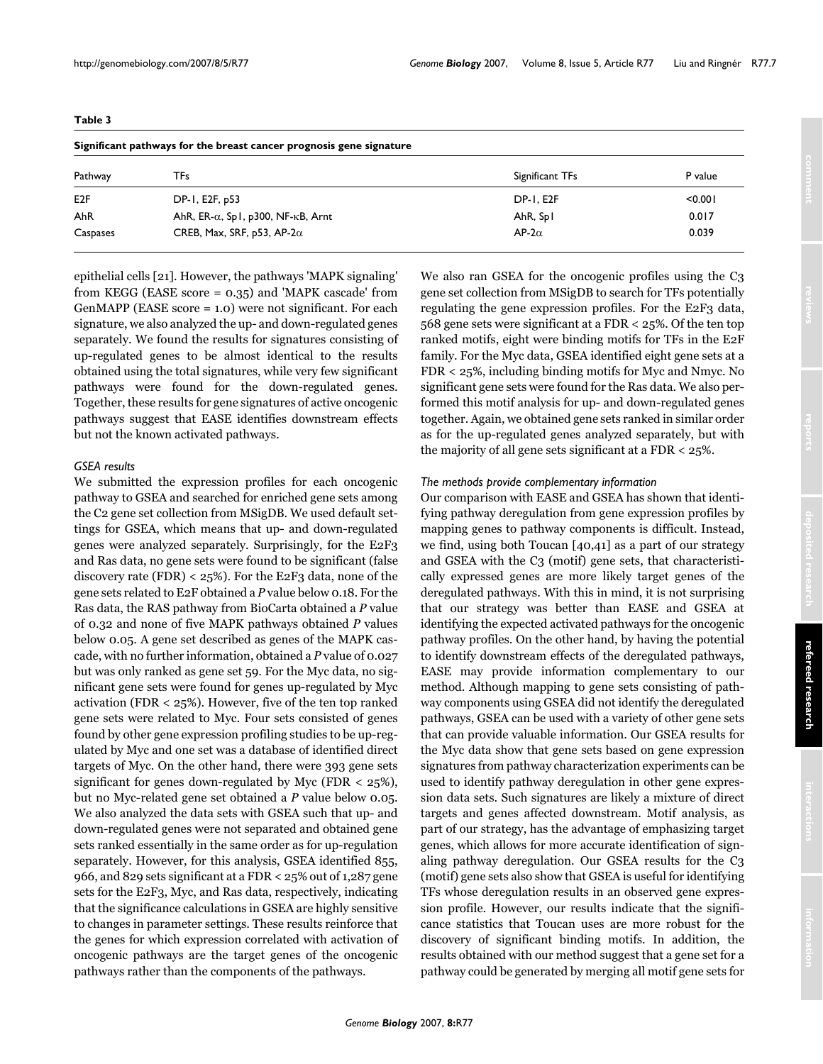| Significant pathways for the breast cancer prognosis gene signature |                                                     |                  |         |  |  |  |
|---------------------------------------------------------------------|-----------------------------------------------------|------------------|---------|--|--|--|
| Pathway                                                             | TFs                                                 | Significant TFs  | P value |  |  |  |
| E <sub>2F</sub>                                                     | DP-1, E2F, p53                                      | <b>DP-1, E2F</b> | < 0.001 |  |  |  |
| AhR                                                                 | AhR, ER- $\alpha$ , Sp1, p300, NF- $\kappa$ B, Arnt | AhR, Spl         | 0.017   |  |  |  |
| Caspases                                                            | CREB, Max, SRF, p53, AP-2 $\alpha$                  | $AP-2\alpha$     | 0.039   |  |  |  |

**Table 3**

epithelial cells [21]. However, the pathways 'MAPK signaling' from KEGG (EASE score =  $0.35$ ) and 'MAPK cascade' from GenMAPP (EASE score = 1.0) were not significant. For each signature, we also analyzed the up- and down-regulated genes separately. We found the results for signatures consisting of up-regulated genes to be almost identical to the results obtained using the total signatures, while very few significant pathways were found for the down-regulated genes. Together, these results for gene signatures of active oncogenic pathways suggest that EASE identifies downstream effects but not the known activated pathways.

#### *GSEA results*

We submitted the expression profiles for each oncogenic pathway to GSEA and searched for enriched gene sets among the C<sub>2</sub> gene set collection from MSigDB. We used default settings for GSEA, which means that up- and down-regulated genes were analyzed separately. Surprisingly, for the E2F3 and Ras data, no gene sets were found to be significant (false discovery rate (FDR) < 25%). For the E2F3 data, none of the gene sets related to E2F obtained a P value below 0.18. For the Ras data, the RAS pathway from BioCarta obtained a P value of 0.32 and none of five MAPK pathways obtained P values below 0.05. A gene set described as genes of the MAPK cascade, with no further information, obtained a P value of 0.027 but was only ranked as gene set 59. For the Myc data, no significant gene sets were found for genes up-regulated by Myc activation (FDR <  $25\%$ ). However, five of the ten top ranked gene sets were related to Myc. Four sets consisted of genes found by other gene expression profiling studies to be up-regulated by Myc and one set was a database of identified direct targets of Myc. On the other hand, there were 393 gene sets significant for genes down-regulated by Myc (FDR  $<$  25%), but no Myc-related gene set obtained a P value below 0.05. We also analyzed the data sets with GSEA such that up- and down-regulated genes were not separated and obtained gene sets ranked essentially in the same order as for up-regulation separately. However, for this analysis, GSEA identified 855, 966, and 829 sets significant at a FDR  $<$  25% out of 1,287 gene sets for the E2F3, Myc, and Ras data, respectively, indicating that the significance calculations in GSEA are highly sensitive to changes in parameter settings. These results reinforce that the genes for which expression correlated with activation of oncogenic pathways are the target genes of the oncogenic pathways rather than the components of the pathways.

We also ran GSEA for the oncogenic profiles using the C3 gene set collection from MSigDB to search for TFs potentially regulating the gene expression profiles. For the E2F3 data, 568 gene sets were significant at a FDR  $<$  25%. Of the ten top ranked motifs, eight were binding motifs for TFs in the E2F family. For the Myc data, GSEA identified eight gene sets at a  $FDR < 25\%$ , including binding motifs for Myc and Nmyc. No significant gene sets were found for the Ras data. We also performed this motif analysis for up- and down-regulated genes together. Again, we obtained gene sets ranked in similar order as for the up-regulated genes analyzed separately, but with the majority of all gene sets significant at a FDR  $<$  25%.

#### *The methods provide complementary information*

Our comparison with EASE and GSEA has shown that identifying pathway deregulation from gene expression profiles by. mapping genes to pathway components is difficult. Instead, we find, using both Toucan [40,41] as a part of our strategy and GSEA with the C3 (motif) gene sets, that characteristically expressed genes are more likely target genes of the deregulated pathways. With this in mind, it is not surprising that our strategy was better than EASE and GSEA at identifying the expected activated pathways for the oncogenic pathway profiles. On the other hand, by having the potential to identify downstream effects of the deregulated pathways, EASE may provide information complementary to our method. Although mapping to gene sets consisting of pathway components using GSEA did not identify the deregulated pathways, GSEA can be used with a variety of other gene sets that can provide valuable information. Our GSEA results for the Myc data show that gene sets based on gene expression signatures from pathway characterization experiments can be used to identify pathway deregulation in other gene expression data sets. Such signatures are likely a mixture of direct targets and genes affected downstream. Motif analysis, as part of our strategy, has the advantage of emphasizing target genes, which allows for more accurate identification of signaling pathway deregulation. Our GSEA results for the C3. (motif) gene sets also show that GSEA is useful for identifying TFs whose deregulation results in an observed gene expression profile. However, our results indicate that the significance statistics that Toucan uses are more robust for the discovery of significant binding motifs. In addition, the results obtained with our method suggest that a gene set for a pathway could be generated by merging all motif gene sets for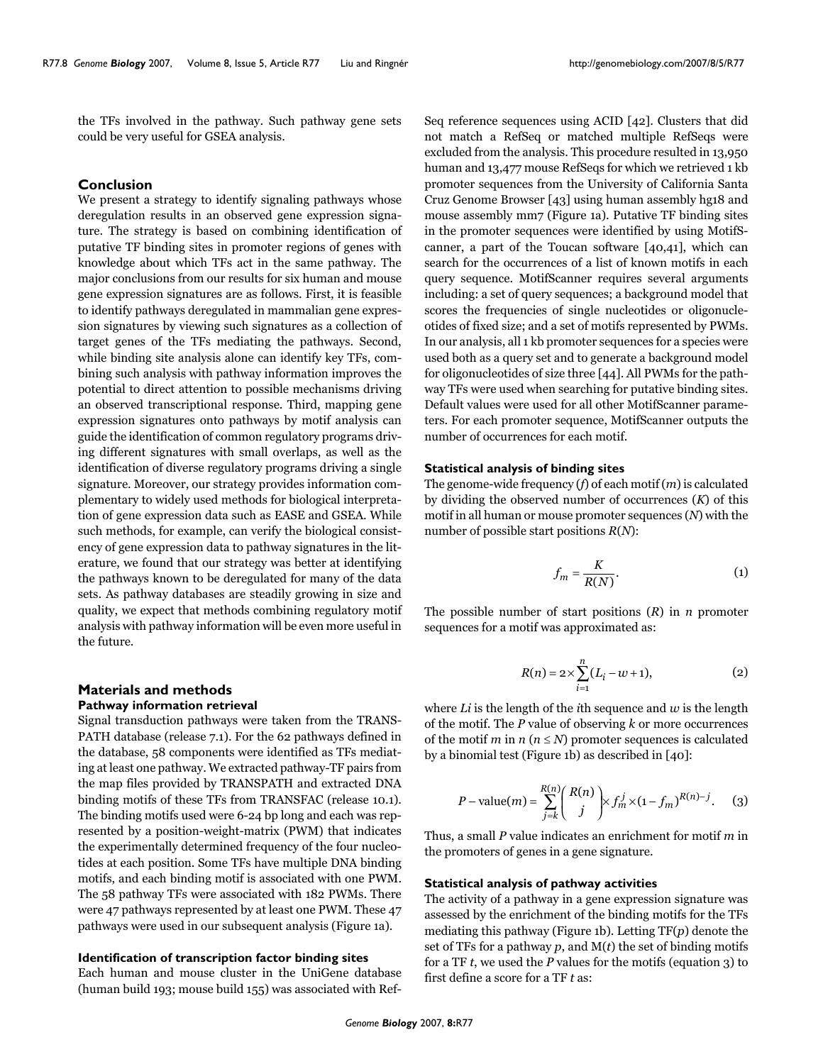the TFs involved in the pathway. Such pathway gene sets could be very useful for GSEA analysis.

#### **Conclusion**

We present a strategy to identify signaling pathways whose deregulation results in an observed gene expression signature. The strategy is based on combining identification of putative TF binding sites in promoter regions of genes with knowledge about which TFs act in the same pathway. The major conclusions from our results for six human and mouse gene expression signatures are as follows. First, it is feasible to identify pathways deregulated in mammalian gene expression signatures by viewing such signatures as a collection of target genes of the TFs mediating the pathways. Second, while binding site analysis alone can identify key TFs, combining such analysis with pathway information improves the potential to direct attention to possible mechanisms driving an observed transcriptional response. Third, mapping gene expression signatures onto pathways by motif analysis can guide the identification of common regulatory programs driving different signatures with small overlaps, as well as the identification of diverse regulatory programs driving a single signature. Moreover, our strategy provides information complementary to widely used methods for biological interpretation of gene expression data such as EASE and GSEA. While such methods, for example, can verify the biological consistency of gene expression data to pathway signatures in the literature, we found that our strategy was better at identifying the pathways known to be deregulated for many of the data sets. As pathway databases are steadily growing in size and quality, we expect that methods combining regulatory motif analysis with pathway information will be even more useful in the future.

# **Materials and methods**

# **Pathway information retrieval**

Signal transduction pathways were taken from the TRANS-PATH database (release 7.1). For the 62 pathways defined in the database, 58 components were identified as TFs mediating at least one pathway. We extracted pathway-TF pairs from the map files provided by TRANSPATH and extracted DNA binding motifs of these TFs from TRANSFAC (release 10.1). The binding motifs used were 6-24 bp long and each was represented by a position-weight-matrix (PWM) that indicates the experimentally determined frequency of the four nucleotides at each position. Some TFs have multiple DNA binding motifs, and each binding motif is associated with one PWM. The 58 pathway TFs were associated with 182 PWMs. There were 47 pathways represented by at least one PWM. These 47 pathways were used in our subsequent analysis (Figure 1a).

### **Identification of transcription factor binding sites**

Each human and mouse cluster in the UniGene database (human build 193; mouse build 155) was associated with RefSeq reference sequences using ACID  $[42]$ . Clusters that did not match a RefSeq or matched multiple RefSeqs were excluded from the analysis. This procedure resulted in 13,950 human and 13,477 mouse RefSeqs for which we retrieved 1 kb promoter sequences from the University of California Santa Cruz Genome Browser  $[43]$  using human assembly hg18 and mouse assembly mm7 (Figure [1](#page-2-0)a). Putative TF binding sites in the promoter sequences were identified by using MotifScanner, a part of the Toucan software  $[40,41]$ , which can search for the occurrences of a list of known motifs in each query sequence. MotifScanner requires several arguments including: a set of query sequences; a background model that scores the frequencies of single nucleotides or oligonucleotides of fixed size; and a set of motifs represented by PWMs. In our analysis, all 1 kb promoter sequences for a species were used both as a query set and to generate a background model for oligonucleotides of size three [44]. All PWMs for the pathway TFs were used when searching for putative binding sites. Default values were used for all other MotifScanner parameters. For each promoter sequence, MotifScanner outputs the number of occurrences for each motif.

#### **Statistical analysis of binding sites**

The genome-wide frequency  $(f)$  of each motif  $(m)$  is calculated by dividing the observed number of occurrences  $(K)$  of this motif in all human or mouse promoter sequences (N) with the number of possible start positions  $R(N)$ :

$$
f_m = \frac{K}{R(N)}.\tag{1}
$$

The possible number of start positions  $(R)$  in  $n$  promoter sequences for a motif was approximated as:

$$
R(n) = 2 \times \sum_{i=1}^{n} (L_i - w + 1),
$$
 (2)

where Li is the length of the *i*th sequence and  $w$  is the length of the motif. The  $P$  value of observing  $k$  or more occurrences of the motif *m* in  $n (n \leq N)$  promoter sequences is calculated by a binomial test (Figure 1b) as described in [40]:

$$
P - \text{value}(m) = \sum_{j=k}^{R(n)} {R(n) \choose j} \times f_m^j \times (1 - f_m)^{R(n)-j}.
$$
 (3)

Thus, a small P value indicates an enrichment for motif m in the promoters of genes in a gene signature.

#### **Statistical analysis of pathway activities**

The activity of a pathway in a gene expression signature was assessed by the enrichment of the binding motifs for the TFs mediating this pathway (Figure [1](#page-2-0)b). Letting  $TF(p)$  denote the set of TFs for a pathway  $p$ , and  $M(t)$  the set of binding motifs for a TF  $t$ , we used the  $P$  values for the motifs (equation  $3$ ) to first define a score for a TF t as: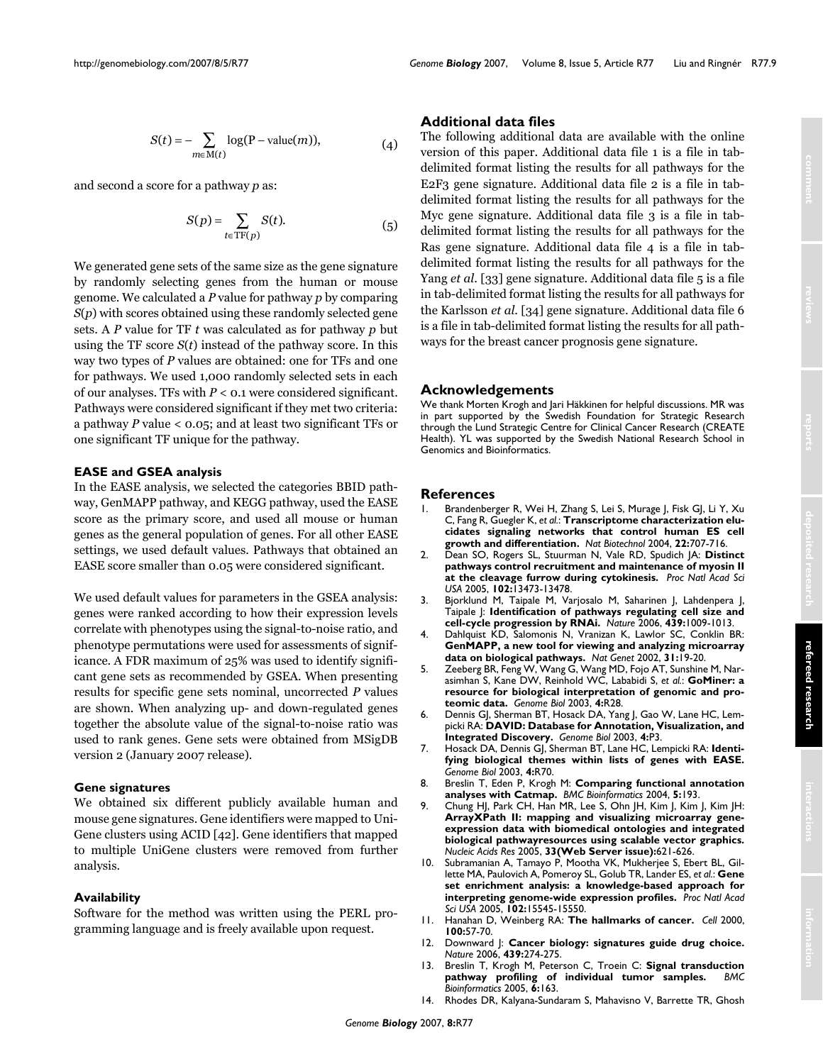The following additional data are available with the online version of this paper. Additional data file 1 is a file in tabdelimited format listing the results for all pathways for the

**Additional data files**

E2F3 gene signature. Additional data file 2 is a file in tabthe results for all pathways for the ditional data file 3 is a file in tabdelimited format listing the results for all pathways for the Ras gene signature. Additional data file 4 is a file in tabdelimited format listing the results for all pathways for the Yang *et al.* [33] gene signature. Additional data file 5 is a file in tab-delimited format listing the results for all pathways for the Karlsson *et al.* [34] gene signature. Additional data file 6 is a file in tab-delimited format listing the results for all pathways for the breast cancer prognosis gene signature.

### **Acknowledgements**

We thank Morten Krogh and Jari Häkkinen for helpful discussions. MR was in part supported by the Swedish Foundation for Strategic Research through the Lund Strategic Centre for Clinical Cancer Research (CREATE Health). YL was supported by the Swedish National Research School in Genomics and Bioinformatics.

#### **References**

- Brandenberger R, Wei H, Zhang S, Lei S, Murage J, Fisk GJ, Li Y, Xu C, Fang R, Guegler K, *et al.*: **Transcriptome [characterization](http://www.ncbi.nlm.nih.gov/entrez/query.fcgi?cmd=Retrieve&db=PubMed&dopt=Abstract&list_uids=15146197) elucidates signaling [networks that control human ES cell](http://www.ncbi.nlm.nih.gov/entrez/query.fcgi?cmd=Retrieve&db=PubMed&dopt=Abstract&list_uids=15146197) [growth and differentiation.](http://www.ncbi.nlm.nih.gov/entrez/query.fcgi?cmd=Retrieve&db=PubMed&dopt=Abstract&list_uids=15146197)** *Nat Biotechnol* 2004, **22:**707-716.
- 2. Dean SO, Rogers SL, Stuurman N, Vale RD, Spudich JA: **[Distinct](http://www.ncbi.nlm.nih.gov/entrez/query.fcgi?cmd=Retrieve&db=PubMed&dopt=Abstract&list_uids=16174742) pathways control recruitment and [maintenance](http://www.ncbi.nlm.nih.gov/entrez/query.fcgi?cmd=Retrieve&db=PubMed&dopt=Abstract&list_uids=16174742) of myosin II at the cleavage furrow during [cytokinesis.](http://www.ncbi.nlm.nih.gov/entrez/query.fcgi?cmd=Retrieve&db=PubMed&dopt=Abstract&list_uids=16174742)** *Proc Natl Acad Sci USA* 2005, **102:**13473-13478.
- 3. Bjorklund M, Taipale M, Varjosalo M, Saharinen J, Lahdenpera J, Taipale J: **Identification of pathways [regulating cell size](http://www.ncbi.nlm.nih.gov/entrez/query.fcgi?cmd=Retrieve&db=PubMed&dopt=Abstract&list_uids=16496002) and [cell-cycle progression by RNAi.](http://www.ncbi.nlm.nih.gov/entrez/query.fcgi?cmd=Retrieve&db=PubMed&dopt=Abstract&list_uids=16496002)** *Nature* 2006, **439:**1009-1013.
- 4. Dahlquist KD, Salomonis N, Vranizan K, Lawlor SC, Conklin BR: **[GenMAPP, a new tool for viewing and analyzing](http://www.ncbi.nlm.nih.gov/entrez/query.fcgi?cmd=Retrieve&db=PubMed&dopt=Abstract&list_uids=11984561) microarray [data on biological pathways.](http://www.ncbi.nlm.nih.gov/entrez/query.fcgi?cmd=Retrieve&db=PubMed&dopt=Abstract&list_uids=11984561)** *Nat Genet* 2002, **31:**19-20.
- 5. Zeeberg BR, Feng W, Wang G, Wang MD, Fojo AT, Sunshine M, Narasimhan S, Kane DW, Reinhold WC, Lababidi S, *et al.*: **[GoMiner:](http://www.ncbi.nlm.nih.gov/entrez/query.fcgi?cmd=Retrieve&db=PubMed&dopt=Abstract&list_uids=12702209) a resource for biological interpretation [of genomic and pro](http://www.ncbi.nlm.nih.gov/entrez/query.fcgi?cmd=Retrieve&db=PubMed&dopt=Abstract&list_uids=12702209)[teomic data.](http://www.ncbi.nlm.nih.gov/entrez/query.fcgi?cmd=Retrieve&db=PubMed&dopt=Abstract&list_uids=12702209)** *Genome Biol* 2003, **4:**R28.
- 6. Dennis GJ, Sherman BT, Hosack DA, Yang J, Gao W, Lane HC, Lempicki RA: **DAVID: Database for Annotation, [Visualization,](http://www.ncbi.nlm.nih.gov/entrez/query.fcgi?cmd=Retrieve&db=PubMed&dopt=Abstract&list_uids=12734009) and [Integrated Discovery.](http://www.ncbi.nlm.nih.gov/entrez/query.fcgi?cmd=Retrieve&db=PubMed&dopt=Abstract&list_uids=12734009)** *Genome Biol* 2003, **4:**P3.
- 7. Hosack DA, Dennis GJ, Sherman BT, Lane HC, Lempicki RA: **[Identi](http://www.ncbi.nlm.nih.gov/entrez/query.fcgi?cmd=Retrieve&db=PubMed&dopt=Abstract&list_uids=14519205)[fying biological themes within](http://www.ncbi.nlm.nih.gov/entrez/query.fcgi?cmd=Retrieve&db=PubMed&dopt=Abstract&list_uids=14519205) lists of genes with EASE.** *Genome Biol* 2003, **4:**R70.
- 8. Breslin T, Eden P, Krogh M: **[Comparing](http://www.ncbi.nlm.nih.gov/entrez/query.fcgi?cmd=Retrieve&db=PubMed&dopt=Abstract&list_uids=15588298) functional annotation analyses with [Catmap.](http://www.ncbi.nlm.nih.gov/entrez/query.fcgi?cmd=Retrieve&db=PubMed&dopt=Abstract&list_uids=15588298)** *BMC Bioinformatics* 2004, **5:**193.
- 9. Chung HJ, Park CH, Han MR, Lee S, Ohn JH, Kim J, Kim J, Kim JH: **ArrayXPath II: mapping and visualizing microarray geneexpression data with biomedical ontologies and integrated biological pathwayresources using scalable vector graphics.** *Nucleic Acids Res* 2005, **33(Web Server issue):**621-626.
- 10. Subramanian A, Tamayo P, Mootha VK, Mukherjee S, Ebert BL, Gillette MA, Paulovich A, Pomeroy SL, Golub TR, Lander ES, *et al.*: **[Gene](http://www.ncbi.nlm.nih.gov/entrez/query.fcgi?cmd=Retrieve&db=PubMed&dopt=Abstract&list_uids=16199517) [set enrichment analysis: a knowledge-based](http://www.ncbi.nlm.nih.gov/entrez/query.fcgi?cmd=Retrieve&db=PubMed&dopt=Abstract&list_uids=16199517) approach for interpreting [genome-wide](http://www.ncbi.nlm.nih.gov/entrez/query.fcgi?cmd=Retrieve&db=PubMed&dopt=Abstract&list_uids=16199517) expression profiles.** *Proc Natl Acad Sci USA* 2005, **102:**15545-15550.
- 11. Hanahan D, Weinberg RA: **The [hallmarks](http://www.ncbi.nlm.nih.gov/entrez/query.fcgi?cmd=Retrieve&db=PubMed&dopt=Abstract&list_uids=10647931) of cancer.** *Cell* 2000, **100:**57-70.
- 12. Downward J: **Cancer biology: [signatures](http://www.ncbi.nlm.nih.gov/entrez/query.fcgi?cmd=Retrieve&db=PubMed&dopt=Abstract&list_uids=16421553) guide drug choice.** *Nature* 2006, **439:**274-275.
- 13. Breslin T, Krogh M, Peterson C, Troein C: **Signal [transduction](http://www.ncbi.nlm.nih.gov/entrez/query.fcgi?cmd=Retrieve&db=PubMed&dopt=Abstract&list_uids=15987529) [pathway profiling of individual](http://www.ncbi.nlm.nih.gov/entrez/query.fcgi?cmd=Retrieve&db=PubMed&dopt=Abstract&list_uids=15987529) tumor samples.** *BMC Bioinformatics* 2005, **6:**163.
- 14. Rhodes DR, Kalyana-Sundaram S, Mahavisno V, Barrette TR, Ghosh

and second a score for a pathway *p* as:

$$
S(p) = \sum_{t \in \text{TF}(p)} S(t). \tag{5}
$$

We generated gene sets of the same size as the gene signature by randomly selecting genes from the human or mouse genome. We calculated a P value for pathway p by comparing *S*(*p*) with scores obtained using these randomly selected gene sets. A P value for TF t was calculated as for pathway p but using the TF score  $S(t)$  instead of the pathway score. In this way two types of P values are obtained: one for TFs and one for pathways. We used 1,000 randomly selected sets in each of our analyses. TFs with  $P < 0.1$  were considered significant. Pathways were considered significant if they met two criteria: a pathway  $P$  value  $\leq$  0.05; and at least two significant TFs or one significant TF unique for the pathway.

#### **EASE and GSEA analysis**

In the EASE analysis, we selected the categories BBID pathway, GenMAPP pathway, and KEGG pathway, used the EASE score as the primary score, and used all mouse or human genes as the general population of genes. For all other EASE settings, we used default values. Pathways that obtained an EASE score smaller than 0.05 were considered significant.

We used default values for parameters in the GSEA analysis: genes were ranked according to how their expression levels correlate with phenotypes using the signal-to-noise ratio, and phenotype permutations were used for assessments of significance. A FDR maximum of 25% was used to identify significant gene sets as recommended by GSEA. When presenting results for specific gene sets nominal, uncorrected P values are shown. When analyzing up- and down-regulated genes together the absolute value of the signal-to-noise ratio was used to rank genes. Gene sets were obtained from MSigDB version 2 (January 2007 release).

#### **Gene signatures**

We obtained six different publicly available human and mouse gene signatures. Gene identifiers were mapped to Uni-Gene clusters using ACID [42]. Gene identifiers that mapped to multiple UniGene clusters were removed from further analysis.

#### **Availability**

Software for the method was written using the PERL programming language and is freely available upon request.

*Genome Biology* 2007, **8:**R77